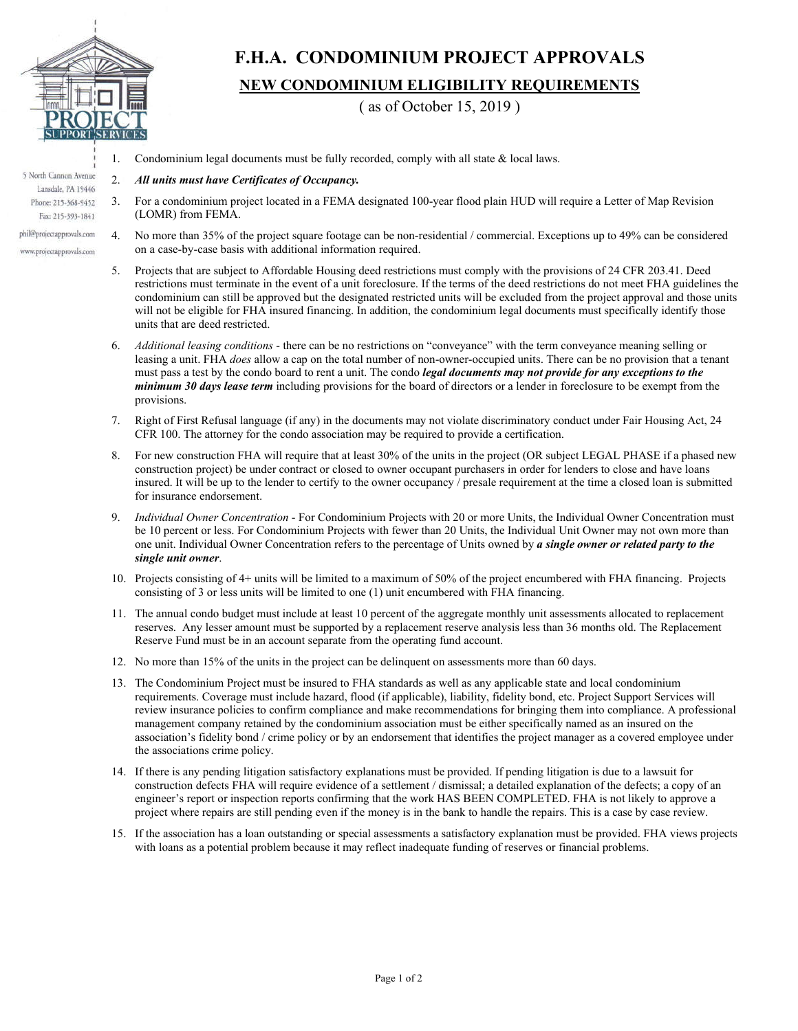

## **F.H.A. CONDOMINIUM PROJECT APPROVALS NEW CONDOMINIUM ELIGIBILITY REQUIREMENTS**

( as of October 15, 2019 )

- 1. Condominium legal documents must be fully recorded, comply with all state & local laws.
- 2. *All units must have Certificates of Occupancy.*
- 3. For a condominium project located in a FEMA designated 100-year flood plain HUD will require a Letter of Map Revision (LOMR) from FEMA.
- 4. No more than 35% of the project square footage can be non-residential / commercial. Exceptions up to 49% can be considered on a case-by-case basis with additional information required.
	- 5. Projects that are subject to Affordable Housing deed restrictions must comply with the provisions of 24 CFR 203.41. Deed restrictions must terminate in the event of a unit foreclosure. If the terms of the deed restrictions do not meet FHA guidelines the condominium can still be approved but the designated restricted units will be excluded from the project approval and those units will not be eligible for FHA insured financing. In addition, the condominium legal documents must specifically identify those units that are deed restricted.
	- 6. *Additional leasing conditions* there can be no restrictions on "conveyance" with the term conveyance meaning selling or leasing a unit. FHA *does* allow a cap on the total number of non-owner-occupied units. There can be no provision that a tenant must pass a test by the condo board to rent a unit. The condo *legal documents may not provide for any exceptions to the minimum 30 days lease term* including provisions for the board of directors or a lender in foreclosure to be exempt from the provisions.
	- 7. Right of First Refusal language (if any) in the documents may not violate discriminatory conduct under Fair Housing Act, 24 CFR 100. The attorney for the condo association may be required to provide a certification.
	- 8. For new construction FHA will require that at least 30% of the units in the project (OR subject LEGAL PHASE if a phased new construction project) be under contract or closed to owner occupant purchasers in order for lenders to close and have loans insured. It will be up to the lender to certify to the owner occupancy / presale requirement at the time a closed loan is submitted for insurance endorsement.
	- 9. *Individual Owner Concentration* For Condominium Projects with 20 or more Units, the Individual Owner Concentration must be 10 percent or less. For Condominium Projects with fewer than 20 Units, the Individual Unit Owner may not own more than one unit. Individual Owner Concentration refers to the percentage of Units owned by *a single owner or related party to the single unit owner*.
	- 10. Projects consisting of 4+ units will be limited to a maximum of 50% of the project encumbered with FHA financing. Projects consisting of 3 or less units will be limited to one (1) unit encumbered with FHA financing.
	- 11. The annual condo budget must include at least 10 percent of the aggregate monthly unit assessments allocated to replacement reserves. Any lesser amount must be supported by a replacement reserve analysis less than 36 months old. The Replacement Reserve Fund must be in an account separate from the operating fund account.
	- 12. No more than 15% of the units in the project can be delinquent on assessments more than 60 days.
	- 13. The Condominium Project must be insured to FHA standards as well as any applicable state and local condominium requirements. Coverage must include hazard, flood (if applicable), liability, fidelity bond, etc. Project Support Services will review insurance policies to confirm compliance and make recommendations for bringing them into compliance. A professional management company retained by the condominium association must be either specifically named as an insured on the association's fidelity bond / crime policy or by an endorsement that identifies the project manager as a covered employee under the associations crime policy.
	- 14. If there is any pending litigation satisfactory explanations must be provided. If pending litigation is due to a lawsuit for construction defects FHA will require evidence of a settlement / dismissal; a detailed explanation of the defects; a copy of an engineer's report or inspection reports confirming that the work HAS BEEN COMPLETED. FHA is not likely to approve a project where repairs are still pending even if the money is in the bank to handle the repairs. This is a case by case review.
	- 15. If the association has a loan outstanding or special assessments a satisfactory explanation must be provided. FHA views projects with loans as a potential problem because it may reflect inadequate funding of reserves or financial problems.

5 North Cannon Avenue Lansdale, PA 19446 Phone: 215-368-9452 Fax: 215-393-1841

phil@projectapprovals.com www.projectapprovals.com